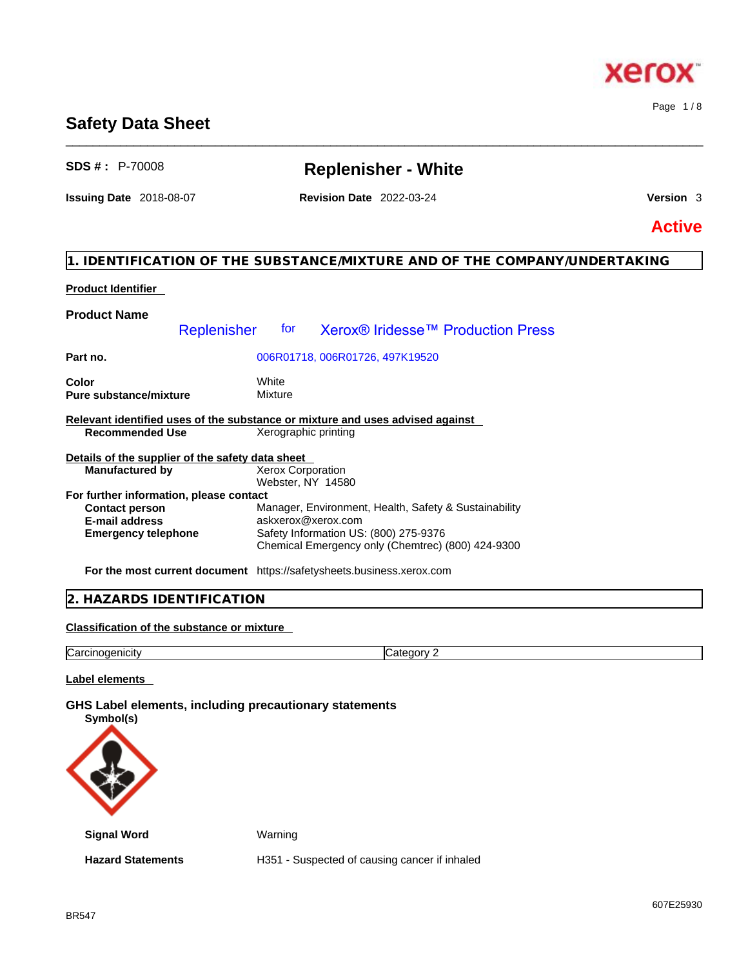607E25930

Page 1 / 8

**Xerox** 

# **Safety Data Sheet**

| <b>SDS #: P-70008</b>                                                                                                   | <b>Replenisher - White</b>                                                                                                                                                |               |
|-------------------------------------------------------------------------------------------------------------------------|---------------------------------------------------------------------------------------------------------------------------------------------------------------------------|---------------|
| <b>Issuing Date 2018-08-07</b>                                                                                          | <b>Revision Date 2022-03-24</b>                                                                                                                                           | Version 3     |
|                                                                                                                         |                                                                                                                                                                           | <b>Active</b> |
|                                                                                                                         | 1. IDENTIFICATION OF THE SUBSTANCE/MIXTURE AND OF THE COMPANY/UNDERTAKING                                                                                                 |               |
| <b>Product Identifier</b>                                                                                               |                                                                                                                                                                           |               |
| <b>Product Name</b><br>Replenisher                                                                                      | for<br>Xerox <sup>®</sup> Iridesse <sup>™</sup> Production Press                                                                                                          |               |
| Part no.                                                                                                                | 006R01718, 006R01726, 497K19520                                                                                                                                           |               |
| Color<br><b>Pure substance/mixture</b>                                                                                  | White<br>Mixture                                                                                                                                                          |               |
| <b>Recommended Use</b>                                                                                                  | Relevant identified uses of the substance or mixture and uses advised against<br>Xerographic printing                                                                     |               |
| Details of the supplier of the safety data sheet<br><b>Manufactured by</b>                                              | <b>Xerox Corporation</b><br>Webster, NY 14580                                                                                                                             |               |
| For further information, please contact<br><b>Contact person</b><br><b>E-mail address</b><br><b>Emergency telephone</b> | Manager, Environment, Health, Safety & Sustainability<br>askxerox@xerox.com<br>Safety Information US: (800) 275-9376<br>Chemical Emergency only (Chemtrec) (800) 424-9300 |               |
|                                                                                                                         | For the most current document https://safetysheets.business.xerox.com                                                                                                     |               |
| 2. HAZARDS IDENTIFICATION                                                                                               |                                                                                                                                                                           |               |
|                                                                                                                         |                                                                                                                                                                           |               |

**Classification of the substance or mixture**

| $\sim$<br>. .<br>nogenicity<br><b>ICarcinc</b><br>eaor∖<br>17.7 |
|-----------------------------------------------------------------|
|-----------------------------------------------------------------|

**Label elements** 

**GHS Label elements, including precautionary statements Symbol(s)**



**Signal Word** Warning

**Hazard Statements** H351 - Suspected of causing cancer if inhaled



\_\_\_\_\_\_\_\_\_\_\_\_\_\_\_\_\_\_\_\_\_\_\_\_\_\_\_\_\_\_\_\_\_\_\_\_\_\_\_\_\_\_\_\_\_\_\_\_\_\_\_\_\_\_\_\_\_\_\_\_\_\_\_\_\_\_\_\_\_\_\_\_\_\_\_\_\_\_\_\_\_\_\_\_\_\_\_\_\_\_\_\_\_\_

**Active**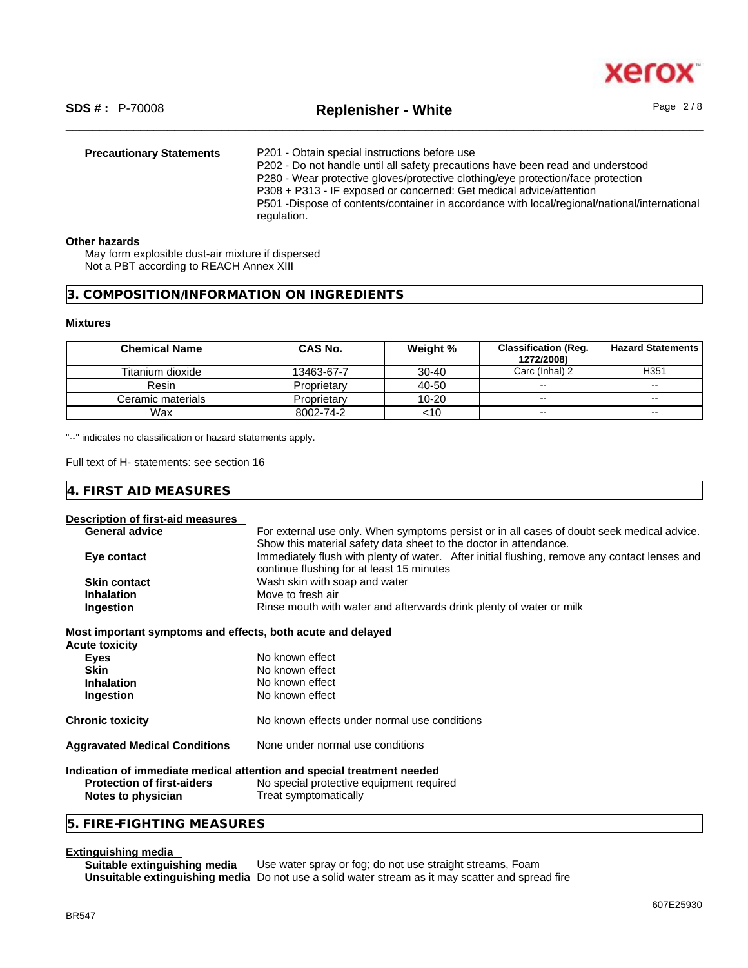

# \_\_\_\_\_\_\_\_\_\_\_\_\_\_\_\_\_\_\_\_\_\_\_\_\_\_\_\_\_\_\_\_\_\_\_\_\_\_\_\_\_\_\_\_\_\_\_\_\_\_\_\_\_\_\_\_\_\_\_\_\_\_\_\_\_\_\_\_\_\_\_\_\_\_\_\_\_\_\_\_\_\_\_\_\_\_\_\_\_\_\_\_\_\_ **SDS # :** P-70008 **Replenisher - White** Page 2 / 8

| <b>Precautionary Statements</b> | P201 - Obtain special instructions before use<br>P202 - Do not handle until all safety precautions have been read and understood<br>P280 - Wear protective gloves/protective clothing/eye protection/face protection<br>P308 + P313 - IF exposed or concerned: Get medical advice/attention<br>P501 -Dispose of contents/container in accordance with local/regional/national/international<br>regulation. |
|---------------------------------|------------------------------------------------------------------------------------------------------------------------------------------------------------------------------------------------------------------------------------------------------------------------------------------------------------------------------------------------------------------------------------------------------------|
|                                 |                                                                                                                                                                                                                                                                                                                                                                                                            |

#### **Other hazards**

May form explosible dust-air mixture if dispersed Not a PBT according to REACH Annex XIII

# **3. COMPOSITION/INFORMATION ON INGREDIENTS**

# **Mixtures**

| <b>Chemical Name</b> | CAS No.     | Weight %  | <b>Classification (Reg.</b><br>1272/2008) | <b>Hazard Statements</b> |
|----------------------|-------------|-----------|-------------------------------------------|--------------------------|
| Titanium dioxide     | 13463-67-7  | $30 - 40$ | Carc (Inhal) 2                            | H <sub>351</sub>         |
| Resin                | Proprietary | 40-50     | $\sim$                                    | $\overline{\phantom{a}}$ |
| Ceramic materials    | Proprietary | $10 - 20$ | $- -$                                     | $\sim$                   |
| Wax                  | 8002-74-2   | <10       | $- -$                                     | $\sim$                   |

"--" indicates no classification or hazard statements apply.

Full text of H- statements: see section 16

# **4. FIRST AID MEASURES**

#### **Description of first-aid measures**

| <b>General advice</b>                                       | For external use only. When symptoms persist or in all cases of doubt seek medical advice.    |
|-------------------------------------------------------------|-----------------------------------------------------------------------------------------------|
|                                                             | Show this material safety data sheet to the doctor in attendance.                             |
| Eye contact                                                 | Immediately flush with plenty of water. After initial flushing, remove any contact lenses and |
|                                                             | continue flushing for at least 15 minutes                                                     |
| <b>Skin contact</b>                                         | Wash skin with soap and water                                                                 |
| <b>Inhalation</b>                                           | Move to fresh air                                                                             |
| Ingestion                                                   | Rinse mouth with water and afterwards drink plenty of water or milk                           |
| Most important symptoms and effects, both acute and delayed |                                                                                               |
| Acute toxicity                                              |                                                                                               |
| <b>Eyes</b>                                                 | No known effect                                                                               |
| <b>Skin</b>                                                 | No known effect                                                                               |
| <b>Inhalation</b>                                           | No known effect                                                                               |
| Ingestion                                                   | No known effect                                                                               |
| Chronic toxicity                                            | No known effects under normal use conditions                                                  |
| <b>Aggravated Medical Conditions</b>                        | None under normal use conditions                                                              |
|                                                             | <u>Indication of immediate medical attention and special treatment needed</u>                 |
| <b>Protection of first-aiders</b>                           | No special protective equipment required                                                      |
| Notes to physician                                          | Treat symptomatically                                                                         |
| 5. FIRE-FIGHTING MEASURES                                   |                                                                                               |

#### **Extinguishing media**

**Suitable extinguishing media** Use water spray or fog; do not use straight streams, Foam **Unsuitable extinguishing media** Do not use a solid water stream as it may scatterand spread fire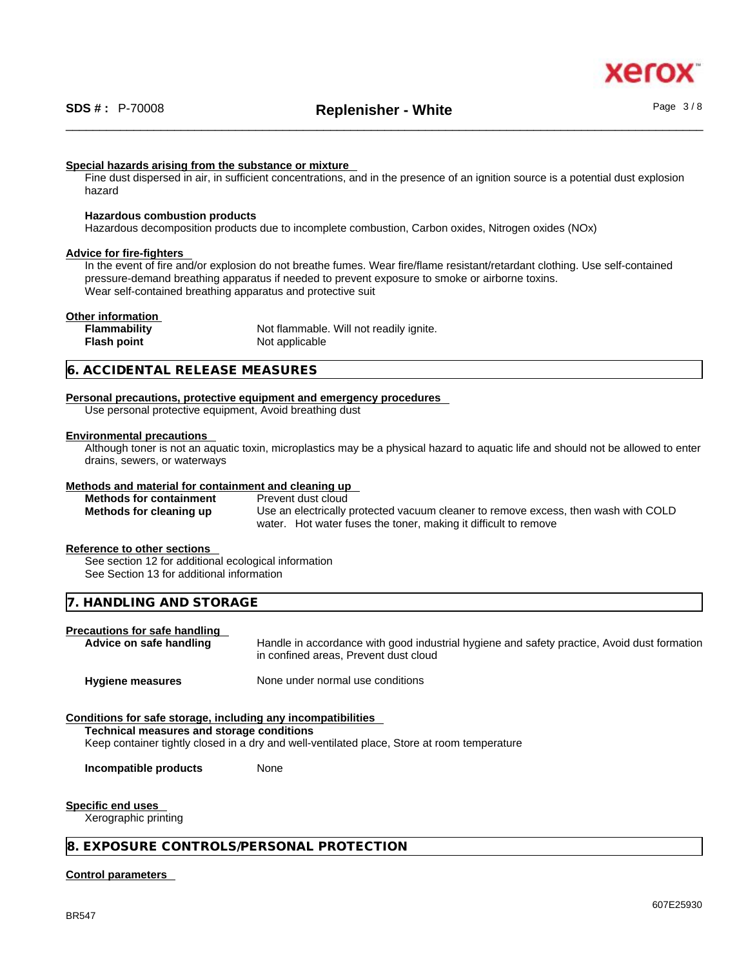

#### **Special hazards arising from the substance or mixture**

Fine dust dispersed in air, in sufficient concentrations, and in the presence of an ignition source is a potential dust explosion hazard

#### **Hazardous combustion products**

Hazardous decomposition products due to incomplete combustion, Carbon oxides, Nitrogen oxides (NOx)

#### **Advice for fire-fighters**

In the event of fire and/or explosion do not breathe fumes. Wear fire/flame resistant/retardant clothing. Use self-contained pressure-demand breathing apparatus if needed to prevent exposure to smoke or airborne toxins. Wear self-contained breathing apparatus and protective suit

#### **Other information**

**Flash point** Not applicable

**Flammability** Not flammable. Will not readily ignite.

# **6. ACCIDENTAL RELEASE MEASURES**

#### **Personal precautions, protective equipment and emergency procedures**

Use personal protective equipment, Avoid breathing dust

#### **Environmental precautions**

Although toner is not an aquatic toxin, microplastics may be a physical hazard to aquatic life and should not be allowed to enter drains, sewers, or waterways

#### **Methods and material for containment and cleaning up**

**Methods for containment** Prevent dust cloud

**Methods for cleaning up** Use an electrically protected vacuum cleaner to remove excess, then wash with COLD water. Hot water fuses the toner, making it difficult to remove

#### **Reference to other sections**

See section 12 for additional ecological information See Section 13 for additional information

# **7. HANDLING AND STORAGE**

# **Precautions for safe handling**

**Advice on safe handling** Handle in accordance with good industrial hygiene and safety practice, Avoid dust formation in confined areas, Prevent dust cloud

**Hygiene measures** None under normal use conditions

# **Conditions for safe storage, including any incompatibilities**

**Technical measures and storage conditions**

Keep container tightly closed in a dry and well-ventilated place, Store at room temperature

**Incompatible products** None

#### **Specific end uses**

Xerographic printing

#### **8. EXPOSURE CONTROLS/PERSONAL PROTECTION**

#### **Control parameters**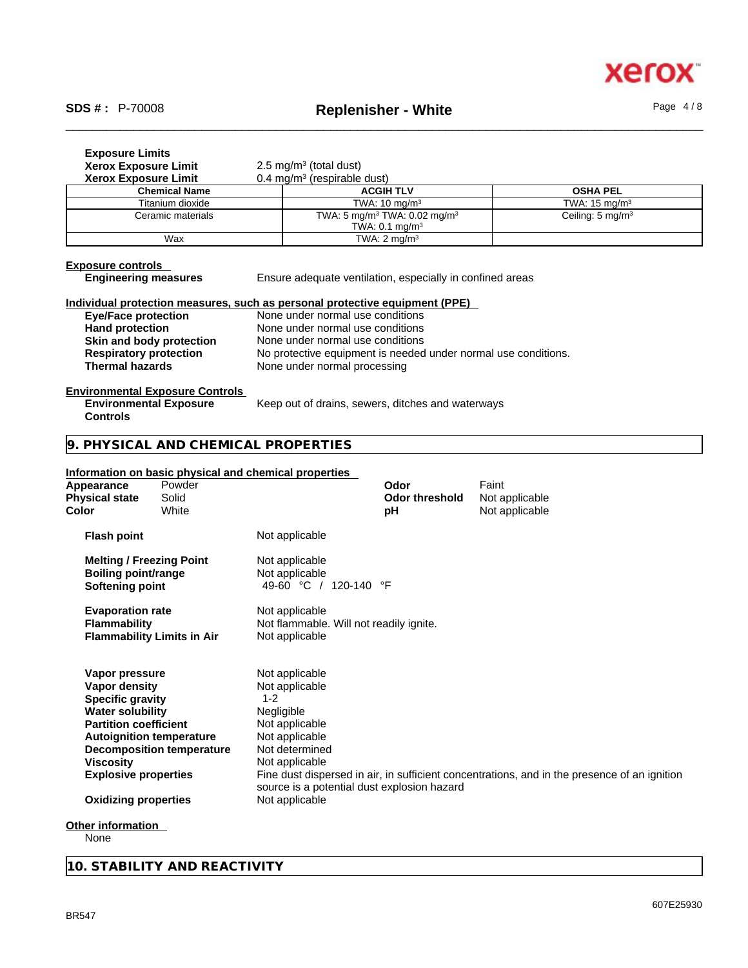

| <b>Xerox Exposure Limit</b><br><b>Xerox Exposure Limit</b>                  | 2.5 mg/m <sup>3</sup> (total dust)                             |                                                      |                                                                                              |
|-----------------------------------------------------------------------------|----------------------------------------------------------------|------------------------------------------------------|----------------------------------------------------------------------------------------------|
|                                                                             | 0.4 mg/m <sup>3</sup> (respirable dust)                        |                                                      |                                                                                              |
| <b>Chemical Name</b>                                                        |                                                                | <b>ACGIH TLV</b>                                     | <b>OSHA PEL</b>                                                                              |
| Titanium dioxide                                                            |                                                                | TWA: $10 \text{ mg/m}^3$                             | TWA: 15 mg/m <sup>3</sup>                                                                    |
| Ceramic materials                                                           |                                                                | TWA: 5 mg/m <sup>3</sup> TWA: 0.02 mg/m <sup>3</sup> | Ceiling: 5 mg/m <sup>3</sup>                                                                 |
|                                                                             |                                                                | TWA: 0.1 mg/m <sup>3</sup>                           |                                                                                              |
| Wax                                                                         |                                                                | TWA: $2 \text{ mg/m}^3$                              |                                                                                              |
| <b>Exposure controls</b>                                                    |                                                                |                                                      |                                                                                              |
| <b>Engineering measures</b>                                                 | Ensure adequate ventilation, especially in confined areas      |                                                      |                                                                                              |
| Individual protection measures, such as personal protective equipment (PPE) |                                                                |                                                      |                                                                                              |
| <b>Eye/Face protection</b>                                                  | None under normal use conditions                               |                                                      |                                                                                              |
| <b>Hand protection</b>                                                      | None under normal use conditions                               |                                                      |                                                                                              |
| Skin and body protection                                                    | None under normal use conditions                               |                                                      |                                                                                              |
| <b>Respiratory protection</b>                                               | No protective equipment is needed under normal use conditions. |                                                      |                                                                                              |
| <b>Thermal hazards</b>                                                      | None under normal processing                                   |                                                      |                                                                                              |
| <b>Environmental Exposure Controls</b>                                      |                                                                |                                                      |                                                                                              |
| <b>Environmental Exposure</b><br><b>Controls</b>                            | Keep out of drains, sewers, ditches and waterways              |                                                      |                                                                                              |
| 9. PHYSICAL AND CHEMICAL PROPERTIES                                         |                                                                |                                                      |                                                                                              |
| Information on basic physical and chemical properties                       |                                                                |                                                      |                                                                                              |
| Powder<br>Appearance                                                        |                                                                | Odor                                                 | Faint                                                                                        |
| Solid<br><b>Physical state</b>                                              |                                                                | <b>Odor threshold</b>                                | Not applicable                                                                               |
| Color<br>White                                                              |                                                                | рH                                                   | Not applicable                                                                               |
|                                                                             |                                                                |                                                      |                                                                                              |
| <b>Flash point</b>                                                          | Not applicable                                                 |                                                      |                                                                                              |
|                                                                             |                                                                |                                                      |                                                                                              |
| <b>Melting / Freezing Point</b>                                             | Not applicable                                                 |                                                      |                                                                                              |
| <b>Boiling point/range</b><br><b>Softening point</b>                        | Not applicable<br>49-60 °C / 120-140 °F                        |                                                      |                                                                                              |
|                                                                             |                                                                |                                                      |                                                                                              |
| <b>Evaporation rate</b>                                                     | Not applicable                                                 |                                                      |                                                                                              |
| <b>Flammability</b>                                                         | Not flammable. Will not readily ignite.                        |                                                      |                                                                                              |
| <b>Flammability Limits in Air</b>                                           | Not applicable                                                 |                                                      |                                                                                              |
|                                                                             |                                                                |                                                      |                                                                                              |
| Vapor pressure                                                              | Not applicable                                                 |                                                      |                                                                                              |
| Vapor density                                                               | Not applicable                                                 |                                                      |                                                                                              |
| <b>Specific gravity</b>                                                     | $1 - 2$                                                        |                                                      |                                                                                              |
| <b>Water solubility</b>                                                     | Negligible                                                     |                                                      |                                                                                              |
| <b>Partition coefficient</b>                                                | Not applicable                                                 |                                                      |                                                                                              |
| <b>Autoignition temperature</b>                                             | Not applicable                                                 |                                                      |                                                                                              |
| <b>Decomposition temperature</b>                                            | Not determined                                                 |                                                      |                                                                                              |
| <b>Viscosity</b>                                                            | Not applicable                                                 |                                                      |                                                                                              |
| <b>Explosive properties</b>                                                 | source is a potential dust explosion hazard                    |                                                      | Fine dust dispersed in air, in sufficient concentrations, and in the presence of an ignition |
| <b>Oxidizing properties</b>                                                 | Not applicable                                                 |                                                      |                                                                                              |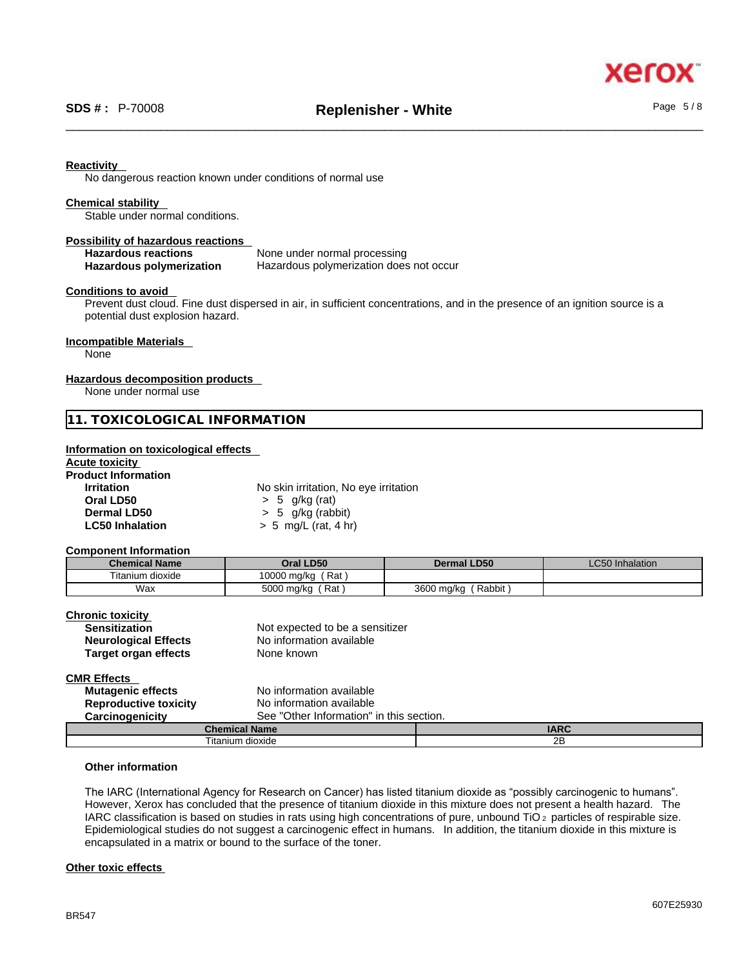

#### **Reactivity**

No dangerous reaction known under conditions of normal use

#### **Chemical stability**

Stable under normal conditions.

#### **Possibility of hazardous reactions**

**Hazardous reactions** None under normal processing **Hazardous polymerization** Hazardous polymerization does not occur

#### **Conditions to avoid**

Prevent dust cloud. Fine dust dispersed in air, in sufficient concentrations, and in the presence of an ignition source is a potential dust explosion hazard.

#### **Incompatible Materials**

None

#### **Hazardous decomposition products**

None under normal use

# **11. TOXICOLOGICAL INFORMATION**

#### **Information on toxicological effects**

| Acute toxicitv             |                                       |  |
|----------------------------|---------------------------------------|--|
| <b>Product Information</b> |                                       |  |
| <b>Irritation</b>          | No skin irritation, No eye irritation |  |
| Oral LD50                  | $> 5$ g/kg (rat)                      |  |
| Dermal LD50                | $> 5$ g/kg (rabbit)                   |  |
| <b>LC50 Inhalation</b>     | $> 5$ mg/L (rat, 4 hr)                |  |

#### **Component Information**

| <b>Chemical Name</b>                                                           | Oral LD50                                                   | <b>Dermal LD50</b>  | <b>LC50</b> Inhalation |
|--------------------------------------------------------------------------------|-------------------------------------------------------------|---------------------|------------------------|
| Titanium dioxide                                                               | 10000 mg/kg (Rat)                                           |                     |                        |
| Wax                                                                            | 5000 mg/kg (Rat)                                            | 3600 mg/kg (Rabbit) |                        |
| <b>Chronic toxicity</b><br><b>Sensitization</b><br><b>Neurological Effects</b> | Not expected to be a sensitizer<br>No information available |                     |                        |

**Target organ effects** None known

**CMR Effects Mutagenic effects** No information available **Reproductive toxicity** No information available **Carcinogenicity** See "Other Information" in this section. **Chemical Name IARC**  Titanium dioxide 2B

#### **Other information**

The IARC (International Agency for Research on Cancer) has listed titanium dioxide as "possibly carcinogenic to humans". However, Xerox has concluded that the presence of titanium dioxide in this mixture does not present a health hazard. The IARC classification is based on studies in rats using high concentrations of pure, unbound TiO 2 particles of respirable size. Epidemiological studies do not suggest a carcinogenic effect in humans. In addition, the titanium dioxide in this mixture is encapsulated in a matrix or bound to the surface of the toner.

#### **Other toxic effects**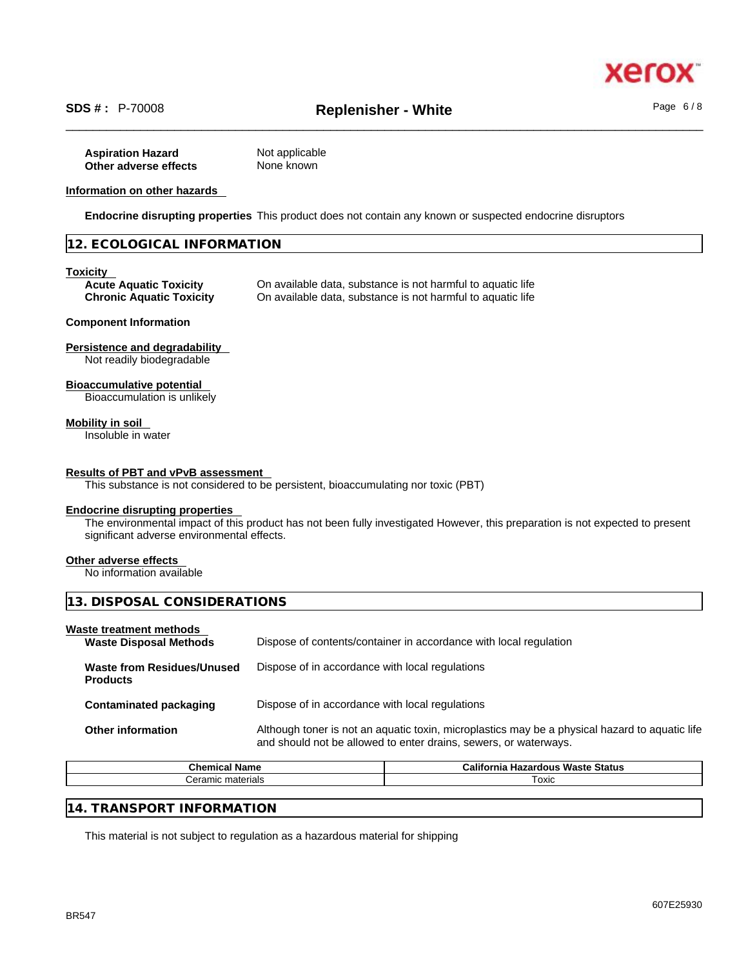\_\_\_\_\_\_\_\_\_\_\_\_\_\_\_\_\_\_\_\_\_\_\_\_\_\_\_\_\_\_\_\_\_\_\_\_\_\_\_\_\_\_\_\_\_\_\_\_\_\_\_\_\_\_\_\_\_\_\_\_\_\_\_\_\_\_\_\_\_\_\_\_\_\_\_\_\_\_\_\_\_\_\_\_\_\_\_\_\_\_\_\_\_\_ **SDS # :** P-70008 **Replenisher - White** Page 6 / 8

| <b>Aspiration Hazard</b> | Not applicable |
|--------------------------|----------------|
| Other adverse effects    | None known     |

# **Information on other hazards**

**Endocrine disrupting properties** This product does not contain any known or suspected endocrine disruptors

# **12. ECOLOGICAL INFORMATION**

#### **Toxicity**

**Acute Aquatic Toxicity** On available data, substance is not harmful to aquatic life<br> **Chronic Aquatic Toxicity** On available data, substance is not harmful to aquatic life **Chronical available data, substance is not harmful to aquatic life** 

#### **Component Information**

**Persistence and degradability** 

Not readily biodegradable

#### **Bioaccumulative potential**

Bioaccumulation is unlikely

#### **Mobility in soil**

Insoluble in water

#### **Results of PBT and vPvB assessment**

This substance is not considered to be persistent, bioaccumulating nor toxic (PBT)

#### **Endocrine disrupting properties**

The environmental impact of this product has not been fully investigated However, this preparation is not expected to present significant adverse environmental effects.

#### **Other adverse effects**

No information available

| 13. DISPOSAL CONSIDERATIONS                              |                                                                   |  |
|----------------------------------------------------------|-------------------------------------------------------------------|--|
| Waste treatment methods<br><b>Waste Disposal Methods</b> | Dispose of contents/container in accordance with local regulation |  |
| Waste from Residues/Unused<br><b>Products</b>            | Dispose of in accordance with local regulations                   |  |

**Contaminated packaging** Dispose of in accordance with local regulations

**Other information** Although toner is not an aquatic toxin, microplastics may be a physical hazard to aquatic life and should not be allowed to enter drains, sewers, or waterways.

| - -<br>Chemical<br>----<br>vame | <br><br><b>Waste</b><br>Status<br>Hazardous<br>California |
|---------------------------------|-----------------------------------------------------------|
| materials<br>∩r<br>ceramic r    | ⊺oxic                                                     |
|                                 |                                                           |

# **14. TRANSPORT INFORMATION**

This material is not subject to regulation as a hazardous material for shipping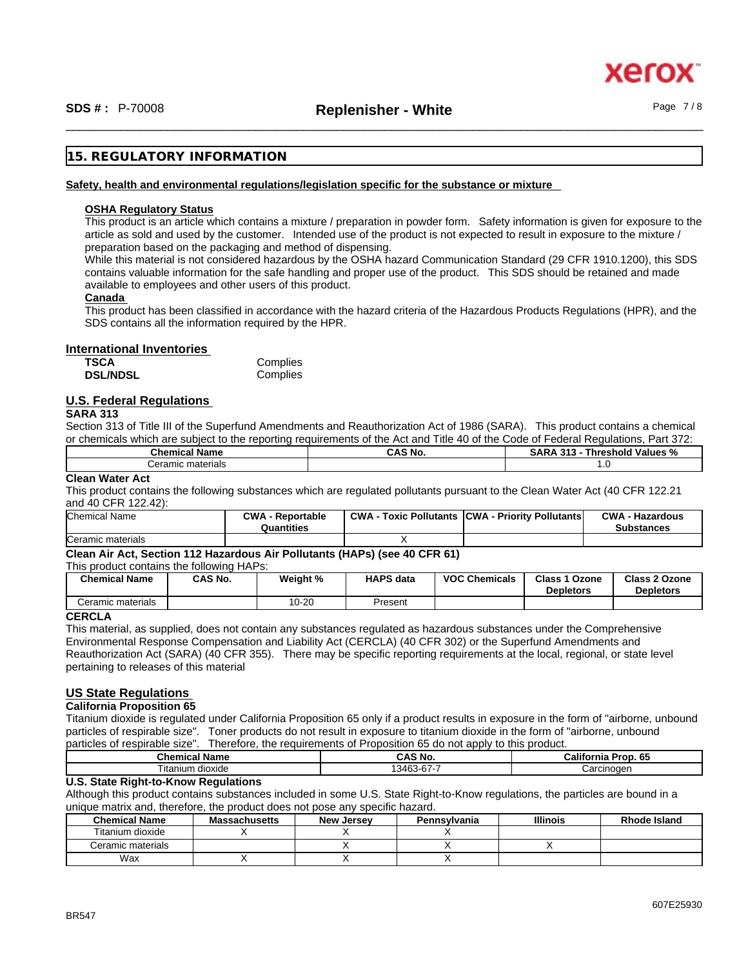xerc

# **15. REGULATORY INFORMATION**

#### **Safety, health and environmental regulations/legislation specific for the substance or mixture**

#### **OSHA Regulatory Status**

This product is an article which contains a mixture / preparation in powder form. Safety information is given for exposure to the article as sold and used by the customer. Intended use of the product is not expected to result in exposure to the mixture / preparation based on the packaging and method of dispensing.

While this material is not considered hazardous by the OSHA hazard Communication Standard (29 CFR 1910.1200), this SDS contains valuable information for the safe handling and proper use of the product. This SDS should be retained and made available to employees and other users of this product.

# **Canada**

This product has been classified in accordance with the hazard criteria of the Hazardous Products Regulations (HPR), and the SDS contains all the information required by the HPR.

# **International Inventories**

| TSCA            | Complies |
|-----------------|----------|
| <b>DSL/NDSL</b> | Complies |

#### **U.S. Federal Regulations SARA 313**

Section 313 of Title III of the Superfund Amendments and Reauthorization Act of 1986 (SARA). This product contains a chemical or chemicals which are subject to the reporting requirements of the Act and Title 40 of the Code of Federal Regulations, Part 372:

| .<br>∣ Name<br>Chemical | ີ AS No<br>unj | $\mathbf{a}$<br>- 242<br>SARA<br>' Values %<br>í hreshold<br>- 313 |
|-------------------------|----------------|--------------------------------------------------------------------|
| Ceramic materials       |                | $\cdot\cdot$                                                       |

# **Clean Water Act**

This product contains the following substances which are regulated pollutants pursuant to the Clean Water Act (40 CFR 122.21 and 40 CFR 122.42):

| Chemical Name     | <b>CWA - Reportable</b> | <b>CWA - Toxic Pollutants CWA - Priority Pollutants</b> | <b>CWA - Hazardous</b> |  |
|-------------------|-------------------------|---------------------------------------------------------|------------------------|--|
|                   | Quantities              |                                                         | Substances             |  |
| Ceramic materials |                         |                                                         |                        |  |

# **Clean Air Act,Section 112 Hazardous Air Pollutants (HAPs) (see 40 CFR 61)**

This product contains the following HAPs:

| <b>Chemical Name</b> | <b>CAS No.</b> | Weight % | <b>HAPS data</b> | <b>VOC Chemicals</b> | Class 1<br>Ozone<br><b>Depletors</b> | Class 2 Ozone<br><b>Depletors</b> |
|----------------------|----------------|----------|------------------|----------------------|--------------------------------------|-----------------------------------|
| Ceramic materials    |                | 10-20    | Present          |                      |                                      |                                   |

#### **CERCLA**

This material, as supplied, does not contain any substances regulated as hazardous substances under the Comprehensive Environmental Response Compensation and Liability Act (CERCLA) (40 CFR 302) or the Superfund Amendments and Reauthorization Act (SARA) (40 CFR 355). There may be specific reporting requirements at the local, regional, or state level pertaining to releases of this material

#### **US State Regulations**

#### **California Proposition 65**

Titanium dioxide is regulated under California Proposition 65 only if a product results in exposure in the form of "airborne, unbound particles of respirable size". Toner products do not result in exposure to titanium dioxide in the form of "airborne, unbound particles of respirable size". Therefore, the requirements of Proposition 65 do not apply to this product.

| Chemical Name        | <b>CASN.</b><br>No. ∛<br>ברש            | Califorr<br>65<br>----<br>ʻrob.<br>ma |
|----------------------|-----------------------------------------|---------------------------------------|
| dioxide<br>⊺ıtanıum  | $\sim$<br>. .<br>$\sqrt{2}$<br>346<br>ັ | ∶arcınoɑen<br>uaiul                   |
| .<br>.<br>. .<br>. . |                                         |                                       |

# **U.S. State Right-to-Know Regulations**

Although this product contains substances included in some U.S. State Right-to-Know regulations, the particles are bound in a unique matrix and, therefore, the product does not pose any specific hazard.

| <b>Chemical Name</b> | <b>Massachusetts</b> | <b>New Jersey</b> | Pennsylvania | <b>Illinois</b> | <b>Rhode Island</b> |
|----------------------|----------------------|-------------------|--------------|-----------------|---------------------|
| Titanium dioxide     |                      |                   |              |                 |                     |
| Ceramic materials    |                      |                   |              |                 |                     |
| Wax                  |                      |                   |              |                 |                     |